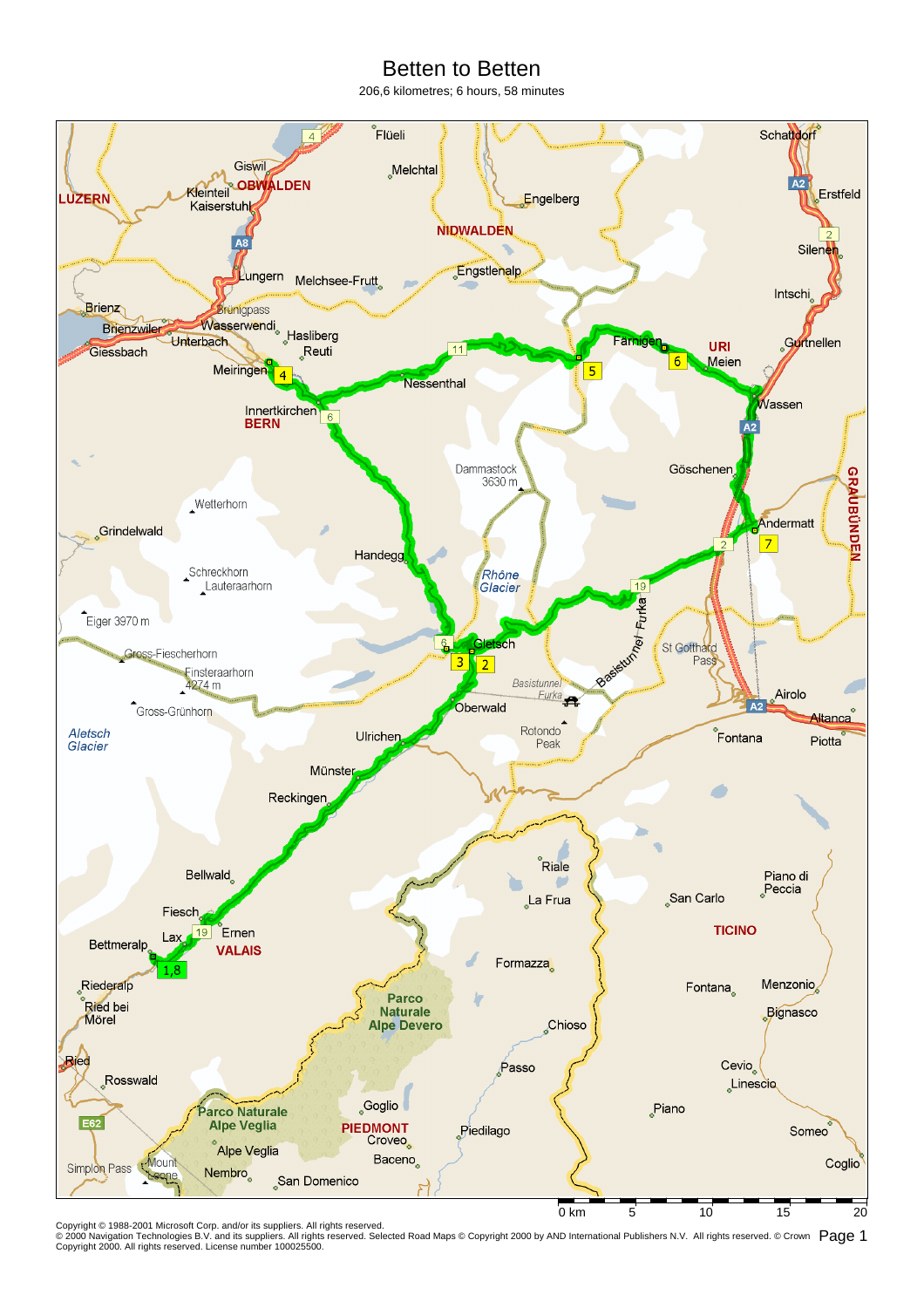## Betten to Betten

206,6 kilometres; 6 hours, 58 minutes



Copyright © 1988-2001 Microsoft Corp. and/or its suppliers. All rights reserved.<br>© 2000 Navigation Technologies B.V. and its suppliers. All rights reserved. Selected Road Maps © Copyright 2000 by AND International Publish